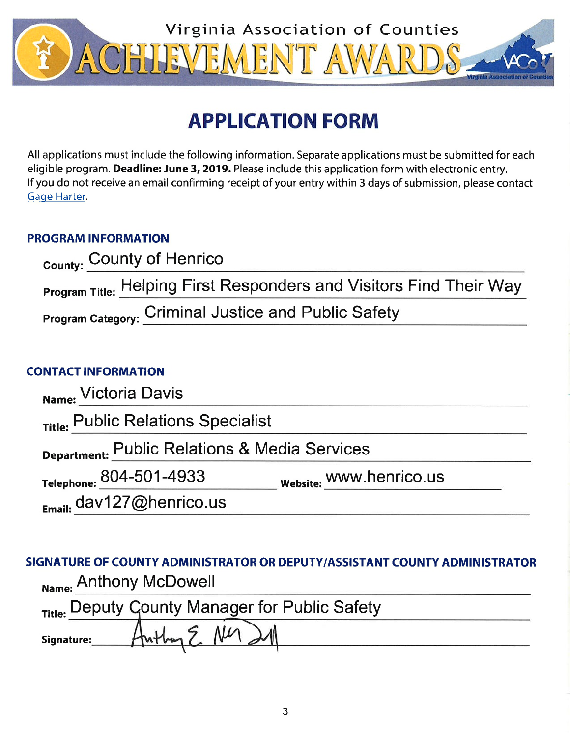

# **APPLICATION FORM**

All applications must include the following information. Separate applications must be submitted for each eligible program. Deadline: June 3, 2019. Please include this application form with electronic entry. If you do not receive an email confirming receipt of your entry within 3 days of submission, please contact Gage Harter.

## **PROGRAM INFORMATION**

| County: County of Henrico                                                  |
|----------------------------------------------------------------------------|
| <b>Program Title: Helping First Responders and Visitors Find Their Way</b> |
| <b>Program Category: Criminal Justice and Public Safety</b>                |

## **CONTACT INFORMATION**

| Name: Victoria Davis                          |                         |  |
|-----------------------------------------------|-------------------------|--|
| Title: Public Relations Specialist            |                         |  |
| Department: Public Relations & Media Services |                         |  |
| Telephone: 804-501-4933                       | Website: WWW.henrico.us |  |
| $_{F_{\text{mail}}}$ dav127@henrico.us        |                         |  |

## SIGNATURE OF COUNTY ADMINISTRATOR OR DEPUTY/ASSISTANT COUNTY ADMINISTRATOR Name: Anthony McDowell

|            |                     | Title: Deputy Gounty Manager for Public Safety |  |
|------------|---------------------|------------------------------------------------|--|
| Signature: | $H_{n+1,m}$ 5 $M_1$ |                                                |  |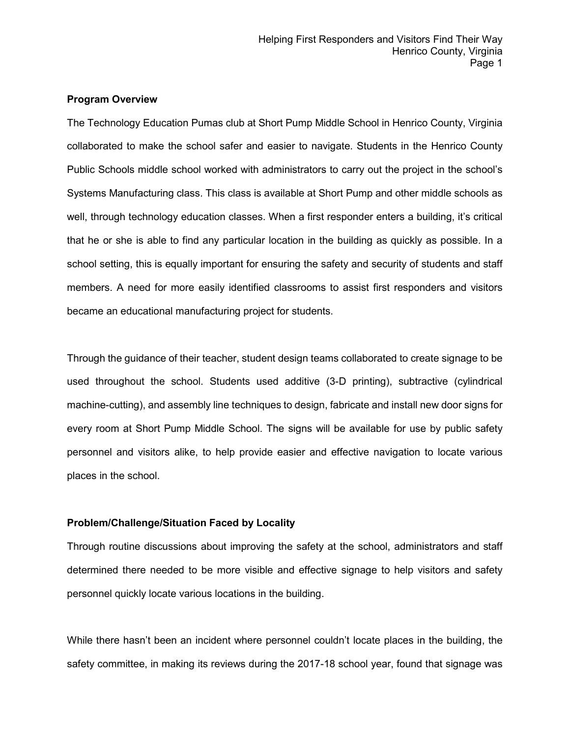#### **Program Overview**

The Technology Education Pumas club at Short Pump Middle School in Henrico County, Virginia collaborated to make the school safer and easier to navigate. Students in the Henrico County Public Schools middle school worked with administrators to carry out the project in the school's Systems Manufacturing class. This class is available at Short Pump and other middle schools as well, through technology education classes. When a first responder enters a building, it's critical that he or she is able to find any particular location in the building as quickly as possible. In a school setting, this is equally important for ensuring the safety and security of students and staff members. A need for more easily identified classrooms to assist first responders and visitors became an educational manufacturing project for students.

Through the guidance of their teacher, student design teams collaborated to create signage to be used throughout the school. Students used additive (3-D printing), subtractive (cylindrical machine-cutting), and assembly line techniques to design, fabricate and install new door signs for every room at Short Pump Middle School. The signs will be available for use by public safety personnel and visitors alike, to help provide easier and effective navigation to locate various places in the school.

#### **Problem/Challenge/Situation Faced by Locality**

Through routine discussions about improving the safety at the school, administrators and staff determined there needed to be more visible and effective signage to help visitors and safety personnel quickly locate various locations in the building.

While there hasn't been an incident where personnel couldn't locate places in the building, the safety committee, in making its reviews during the 2017-18 school year, found that signage was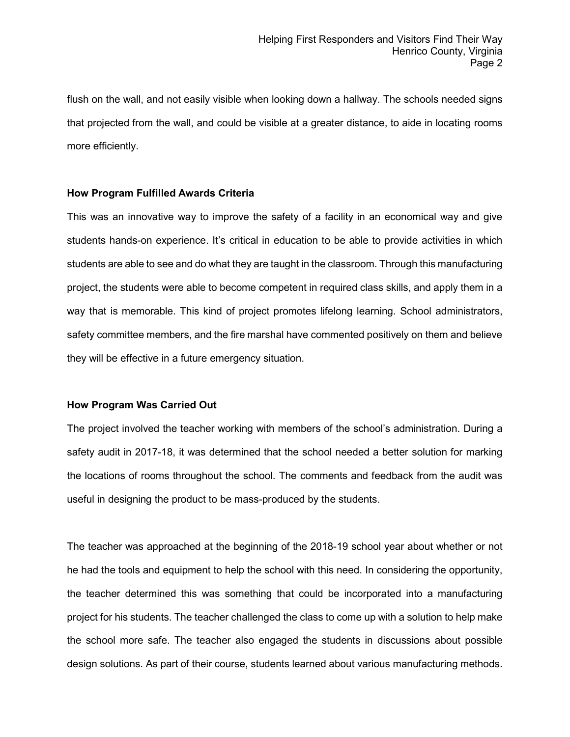flush on the wall, and not easily visible when looking down a hallway. The schools needed signs that projected from the wall, and could be visible at a greater distance, to aide in locating rooms more efficiently.

#### **How Program Fulfilled Awards Criteria**

This was an innovative way to improve the safety of a facility in an economical way and give students hands-on experience. It's critical in education to be able to provide activities in which students are able to see and do what they are taught in the classroom. Through this manufacturing project, the students were able to become competent in required class skills, and apply them in a way that is memorable. This kind of project promotes lifelong learning. School administrators, safety committee members, and the fire marshal have commented positively on them and believe they will be effective in a future emergency situation.

#### **How Program Was Carried Out**

The project involved the teacher working with members of the school's administration. During a safety audit in 2017-18, it was determined that the school needed a better solution for marking the locations of rooms throughout the school. The comments and feedback from the audit was useful in designing the product to be mass-produced by the students.

The teacher was approached at the beginning of the 2018-19 school year about whether or not he had the tools and equipment to help the school with this need. In considering the opportunity, the teacher determined this was something that could be incorporated into a manufacturing project for his students. The teacher challenged the class to come up with a solution to help make the school more safe. The teacher also engaged the students in discussions about possible design solutions. As part of their course, students learned about various manufacturing methods.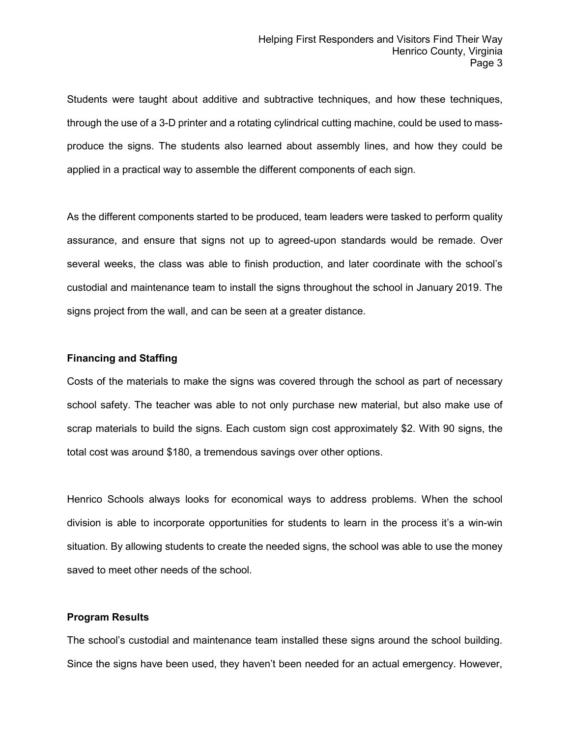Students were taught about additive and subtractive techniques, and how these techniques, through the use of a 3-D printer and a rotating cylindrical cutting machine, could be used to massproduce the signs. The students also learned about assembly lines, and how they could be applied in a practical way to assemble the different components of each sign.

As the different components started to be produced, team leaders were tasked to perform quality assurance, and ensure that signs not up to agreed-upon standards would be remade. Over several weeks, the class was able to finish production, and later coordinate with the school's custodial and maintenance team to install the signs throughout the school in January 2019. The signs project from the wall, and can be seen at a greater distance.

#### **Financing and Staffing**

Costs of the materials to make the signs was covered through the school as part of necessary school safety. The teacher was able to not only purchase new material, but also make use of scrap materials to build the signs. Each custom sign cost approximately \$2. With 90 signs, the total cost was around \$180, a tremendous savings over other options.

Henrico Schools always looks for economical ways to address problems. When the school division is able to incorporate opportunities for students to learn in the process it's a win-win situation. By allowing students to create the needed signs, the school was able to use the money saved to meet other needs of the school.

#### **Program Results**

The school's custodial and maintenance team installed these signs around the school building. Since the signs have been used, they haven't been needed for an actual emergency. However,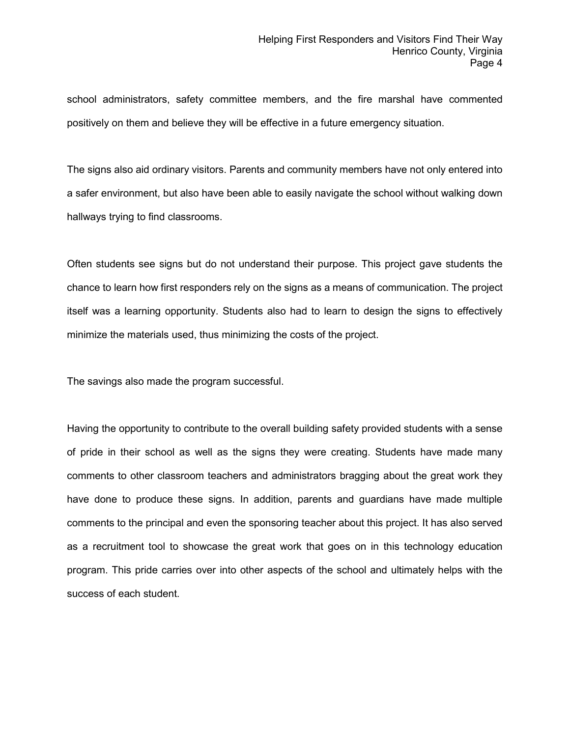school administrators, safety committee members, and the fire marshal have commented positively on them and believe they will be effective in a future emergency situation.

The signs also aid ordinary visitors. Parents and community members have not only entered into a safer environment, but also have been able to easily navigate the school without walking down hallways trying to find classrooms.

Often students see signs but do not understand their purpose. This project gave students the chance to learn how first responders rely on the signs as a means of communication. The project itself was a learning opportunity. Students also had to learn to design the signs to effectively minimize the materials used, thus minimizing the costs of the project.

The savings also made the program successful.

Having the opportunity to contribute to the overall building safety provided students with a sense of pride in their school as well as the signs they were creating. Students have made many comments to other classroom teachers and administrators bragging about the great work they have done to produce these signs. In addition, parents and guardians have made multiple comments to the principal and even the sponsoring teacher about this project. It has also served as a recruitment tool to showcase the great work that goes on in this technology education program. This pride carries over into other aspects of the school and ultimately helps with the success of each student.